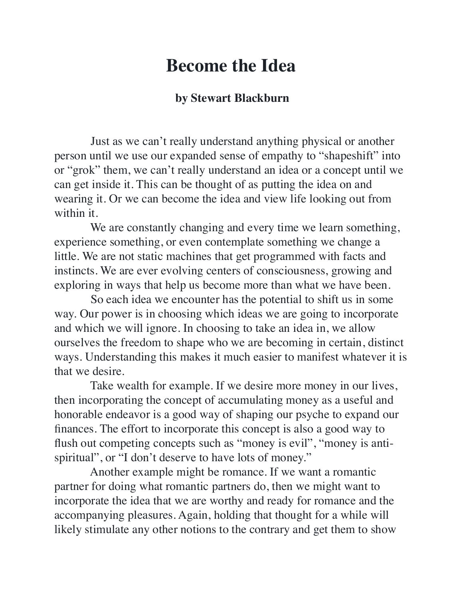## **Become the Idea**

## **by Stewart Blackburn**

 Just as we can't really understand anything physical or another person until we use our expanded sense of empathy to "shapeshift" into or "grok" them, we can't really understand an idea or a concept until we can get inside it. This can be thought of as putting the idea on and wearing it. Or we can become the idea and view life looking out from within it.

We are constantly changing and every time we learn something, experience something, or even contemplate something we change a little. We are not static machines that get programmed with facts and instincts. We are ever evolving centers of consciousness, growing and exploring in ways that help us become more than what we have been.

 So each idea we encounter has the potential to shift us in some way. Our power is in choosing which ideas we are going to incorporate and which we will ignore. In choosing to take an idea in, we allow ourselves the freedom to shape who we are becoming in certain, distinct ways. Understanding this makes it much easier to manifest whatever it is that we desire.

 Take wealth for example. If we desire more money in our lives, then incorporating the concept of accumulating money as a useful and honorable endeavor is a good way of shaping our psyche to expand our finances. The effort to incorporate this concept is also a good way to flush out competing concepts such as "money is evil", "money is antispiritual", or "I don't deserve to have lots of money."

 Another example might be romance. If we want a romantic partner for doing what romantic partners do, then we might want to incorporate the idea that we are worthy and ready for romance and the accompanying pleasures. Again, holding that thought for a while will likely stimulate any other notions to the contrary and get them to show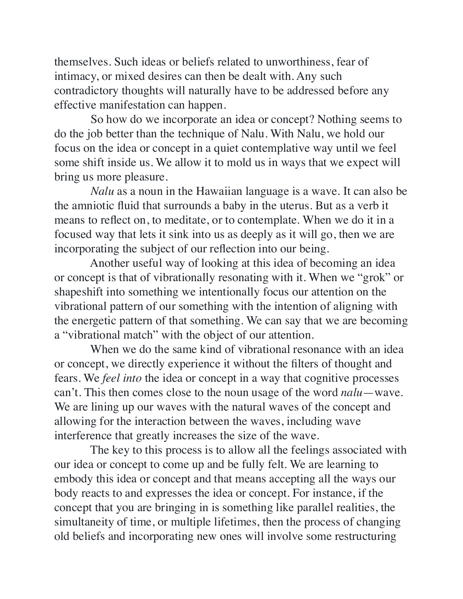themselves. Such ideas or beliefs related to unworthiness, fear of intimacy, or mixed desires can then be dealt with. Any such contradictory thoughts will naturally have to be addressed before any effective manifestation can happen.

 So how do we incorporate an idea or concept? Nothing seems to do the job better than the technique of Nalu. With Nalu, we hold our focus on the idea or concept in a quiet contemplative way until we feel some shift inside us. We allow it to mold us in ways that we expect will bring us more pleasure.

 *Nalu* as a noun in the Hawaiian language is a wave. It can also be the amniotic fluid that surrounds a baby in the uterus. But as a verb it means to reflect on, to meditate, or to contemplate. When we do it in a focused way that lets it sink into us as deeply as it will go, then we are incorporating the subject of our reflection into our being.

 Another useful way of looking at this idea of becoming an idea or concept is that of vibrationally resonating with it. When we "grok" or shapeshift into something we intentionally focus our attention on the vibrational pattern of our something with the intention of aligning with the energetic pattern of that something. We can say that we are becoming a "vibrational match" with the object of our attention.

 When we do the same kind of vibrational resonance with an idea or concept, we directly experience it without the filters of thought and fears. We *feel into* the idea or concept in a way that cognitive processes can't. This then comes close to the noun usage of the word *nalu*—wave. We are lining up our waves with the natural waves of the concept and allowing for the interaction between the waves, including wave interference that greatly increases the size of the wave.

 The key to this process is to allow all the feelings associated with our idea or concept to come up and be fully felt. We are learning to embody this idea or concept and that means accepting all the ways our body reacts to and expresses the idea or concept. For instance, if the concept that you are bringing in is something like parallel realities, the simultaneity of time, or multiple lifetimes, then the process of changing old beliefs and incorporating new ones will involve some restructuring